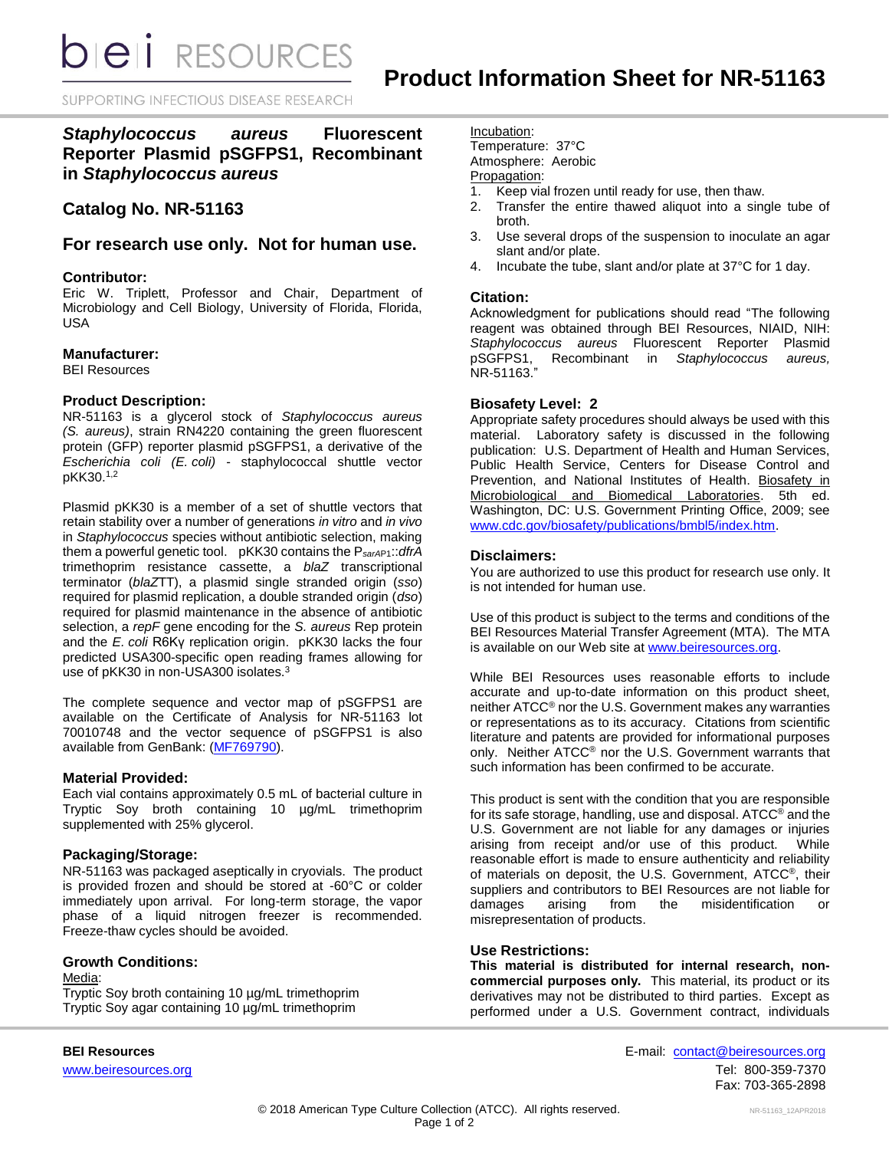**bieli** RESOURCES

SUPPORTING INFECTIOUS DISEASE RESEARCH

*Staphylococcus aureus* **Fluorescent Reporter Plasmid pSGFPS1, Recombinant in** *Staphylococcus aureus*

# **Catalog No. NR-51163**

# **For research use only. Not for human use.**

#### **Contributor:**

Eric W. Triplett, Professor and Chair, Department of Microbiology and Cell Biology, University of Florida, Florida, USA

## **Manufacturer:**

BEI Resources

#### **Product Description:**

NR-51163 is a glycerol stock of *Staphylococcus aureus (S. aureus)*, strain RN4220 containing the green fluorescent protein (GFP) reporter plasmid pSGFPS1, a derivative of the *Escherichia coli (E. coli)* - staphylococcal shuttle vector pKK30.<sup>1,2</sup>

Plasmid pKK30 is a member of a set of shuttle vectors that retain stability over a number of generations *in vitro* and *in vivo* in *Staphylococcus* species without antibiotic selection, making them a powerful genetic tool. pKK30 contains the P*sarA*P1::*dfrA* trimethoprim resistance cassette, a *blaZ* transcriptional terminator (*blaZ*TT), a plasmid single stranded origin (*sso*) required for plasmid replication, a double stranded origin (*dso*) required for plasmid maintenance in the absence of antibiotic selection, a *repF* gene encoding for the *S. aureus* Rep protein and the *E. coli* R6Kγ replication origin. pKK30 lacks the four predicted USA300-specific open reading frames allowing for use of pKK30 in non-USA300 isolates.<sup>3</sup>

The complete sequence and vector map of pSGFPS1 are available on the Certificate of Analysis for NR-51163 lot 70010748 and the vector sequence of pSGFPS1 is also available from GenBank: [\(MF769790\)](https://www.ncbi.nlm.nih.gov/nuccore/MF769790.1/).

#### **Material Provided:**

Each vial contains approximately 0.5 mL of bacterial culture in Tryptic Soy broth containing 10 µg/mL trimethoprim supplemented with 25% glycerol.

#### **Packaging/Storage:**

NR-51163 was packaged aseptically in cryovials. The product is provided frozen and should be stored at -60°C or colder immediately upon arrival. For long-term storage, the vapor phase of a liquid nitrogen freezer is recommended. Freeze-thaw cycles should be avoided.

#### **Growth Conditions:**

Media: Tryptic Soy broth containing 10 µg/mL trimethoprim Tryptic Soy agar containing 10 µg/mL trimethoprim

Incubation:

Temperature: 37°C Atmosphere: Aerobic

# Propagation:

- 1. Keep vial frozen until ready for use, then thaw.
- 2. Transfer the entire thawed aliquot into a single tube of broth.
- 3. Use several drops of the suspension to inoculate an agar slant and/or plate.
- 4. Incubate the tube, slant and/or plate at 37°C for 1 day.

## **Citation:**

Acknowledgment for publications should read "The following reagent was obtained through BEI Resources, NIAID, NIH: *Staphylococcus aureus* Fluorescent Reporter Plasmid pSGFPS1, Recombinant in *Staphylococcus aureus,* NR-51163."

#### **Biosafety Level: 2**

Appropriate safety procedures should always be used with this material. Laboratory safety is discussed in the following publication: U.S. Department of Health and Human Services, Public Health Service, Centers for Disease Control and Prevention, and National Institutes of Health. Biosafety in Microbiological and Biomedical Laboratories. 5th ed. Washington, DC: U.S. Government Printing Office, 2009; see [www.cdc.gov/biosafety/publications/bmbl5/index.htm.](http://www.cdc.gov/biosafety/publications/bmbl5/index.htm)

## **Disclaimers:**

You are authorized to use this product for research use only. It is not intended for human use.

Use of this product is subject to the terms and conditions of the BEI Resources Material Transfer Agreement (MTA). The MTA is available on our Web site a[t www.beiresources.org.](http://www.beiresources.org/)

While BEI Resources uses reasonable efforts to include accurate and up-to-date information on this product sheet, neither ATCC® nor the U.S. Government makes any warranties or representations as to its accuracy. Citations from scientific literature and patents are provided for informational purposes only. Neither ATCC® nor the U.S. Government warrants that such information has been confirmed to be accurate.

This product is sent with the condition that you are responsible for its safe storage, handling, use and disposal. ATCC<sup>®</sup> and the U.S. Government are not liable for any damages or injuries arising from receipt and/or use of this product. While reasonable effort is made to ensure authenticity and reliability of materials on deposit, the U.S. Government, ATCC®, their suppliers and contributors to BEI Resources are not liable for damages arising from the misidentification or misrepresentation of products.

#### **Use Restrictions:**

**This material is distributed for internal research, noncommercial purposes only.** This material, its product or its derivatives may not be distributed to third parties. Except as performed under a U.S. Government contract, individuals

**BEI Resources** E-mail: [contact@beiresources.org](mailto:contact@beiresources.org) [www.beiresources.org](http://www.beiresources.org/)Tel: 800-359-7370 Fax: 703-365-2898